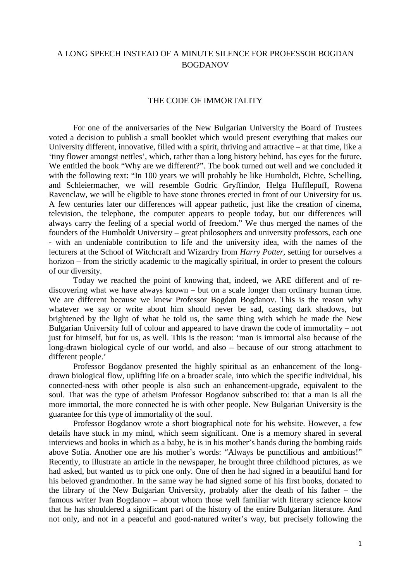## A LONG SPEECH INSTEAD OF A MINUTE SILENCE FOR PROFESSOR BOGDAN BOGDANOV

## THE CODE OF IMMORTALITY

For one of the anniversaries of the New Bulgarian University the Board of Trustees voted a decision to publish a small booklet which would present everything that makes our University different, innovative, filled with a spirit, thriving and attractive – at that time, like a 'tiny flower amongst nettles', which, rather than a long history behind, has eyes for the future. We entitled the book "Why are we different?". The book turned out well and we concluded it with the following text: "In 100 years we will probably be like Humboldt, Fichte, Schelling, and Schleiermacher, we will resemble Godric Gryffindor, Helga Hufflepuff, Rowena Ravenclaw, we will be eligible to have stone thrones erected in front of our University for us. A few centuries later our differences will appear pathetic, just like the creation of cinema, television, the telephone, the computer appears to people today, but our differences will always carry the feeling of a special world of freedom." We thus merged the names of the founders of the Humboldt University – great philosophers and university professors, each one - with an undeniable contribution to life and the university idea, with the names of the lecturers at the School of Witchcraft and Wizardry from *Harry Potter,* setting for ourselves a horizon – from the strictly academic to the magically spiritual, in order to present the colours of our diversity.

Today we reached the point of knowing that, indeed, we ARE different and of rediscovering what we have always known – but on a scale longer than ordinary human time. We are different because we knew Professor Bogdan Bogdanov. This is the reason why whatever we say or write about him should never be sad, casting dark shadows, but brightened by the light of what he told us, the same thing with which he made the New Bulgarian University full of colour and appeared to have drawn the code of immortality – not just for himself, but for us, as well. This is the reason: 'man is immortal also because of the long-drawn biological cycle of our world, and also – because of our strong attachment to different people.'

Professor Bogdanov presented the highly spiritual as an enhancement of the longdrawn biological flow, uplifting life on a broader scale, into which the specific individual, his connected-ness with other people is also such an enhancement-upgrade, equivalent to the soul. That was the type of atheism Professor Bogdanov subscribed to: that a man is all the more immortal, the more connected he is with other people. New Bulgarian University is the guarantee for this type of immortality of the soul.

Professor Bogdanov wrote a short biographical note for his website. However, a few details have stuck in my mind, which seem significant. One is a memory shared in several interviews and books in which as a baby, he is in his mother's hands during the bombing raids above Sofia. Another one are his mother's words: "Always be punctilious and ambitious!" Recently, to illustrate an article in the newspaper, he brought three childhood pictures, as we had asked, but wanted us to pick one only. One of then he had signed in a beautiful hand for his beloved grandmother. In the same way he had signed some of his first books, donated to the library of the New Bulgarian University, probably after the death of his father – the famous writer Ivan Bogdanov – about whom those well familiar with literary science know that he has shouldered a significant part of the history of the entire Bulgarian literature. And not only, and not in a peaceful and good-natured writer's way, but precisely following the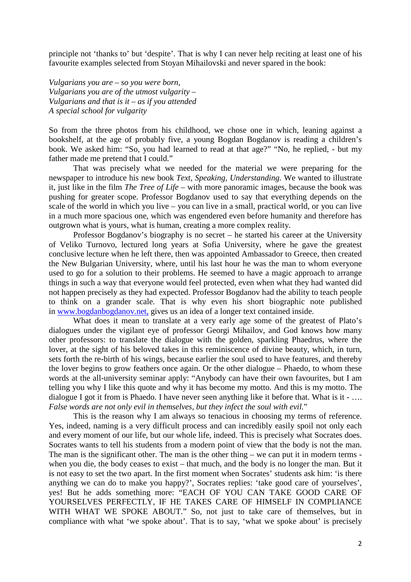principle not 'thanks to' but 'despite'. That is why I can never help reciting at least one of his favourite examples selected from Stoyan Mihailovski and never spared in the book:

*Vulgarians you are – so you were born, Vulgarians you are of the utmost vulgarity – Vulgarians and that is it – as if you attended A special school for vulgarity*

So from the three photos from his childhood, we chose one in which, leaning against a bookshelf, at the age of probably five, a young Bogdan Bogdanov is reading a children's book. We asked him: "So, you had learned to read at that age?" "No, he replied, - but my father made me pretend that I could."

That was precisely what we needed for the material we were preparing for the newspaper to introduce his new book *Text, Speaking, Understanding.* We wanted to illustrate it, just like in the film *The Tree of Life –* with more panoramic images, because the book was pushing for greater scope. Professor Bogdanov used to say that everything depends on the scale of the world in which you live – you can live in a small, practical world, or you can live in a much more spacious one, which was engendered even before humanity and therefore has outgrown what is yours, what is human, creating a more complex reality.

Professor Bogdanov's biography is no secret – he started his career at the University of Veliko Turnovo, lectured long years at Sofia University, where he gave the greatest conclusive lecture when he left there, then was appointed Ambassador to Greece, then created the New Bulgarian University, where, until his last hour he was the man to whom everyone used to go for a solution to their problems. He seemed to have a magic approach to arrange things in such a way that everyone would feel protected, even when what they had wanted did not happen precisely as they had expected. Professor Bogdanov had the ability to teach people to think on a grander scale. That is why even his short biographic note published in [www.bogdanbogdanov.net,](http://www.bogdanbogdanov.net/) gives us an idea of a longer text contained inside.

What does it mean to translate at a very early age some of the greatest of Plato's dialogues under the vigilant eye of professor Georgi Mihailov, and God knows how many other professors: to translate the dialogue with the golden, sparkling Phaedrus, where the lover, at the sight of his beloved takes in this reminiscence of divine beauty, which, in turn, sets forth the re-birth of his wings, because earlier the soul used to have features, and thereby the lover begins to grow feathers once again. Or the other dialogue – Phaedo, to whom these words at the all-university seminar apply: "Anybody can have their own favourites, but I am telling you why I like this quote and why it has become my motto. And this is my motto. The dialogue I got it from is Phaedo. I have never seen anything like it before that. What is it - …. *False words are not only evil in themselves, but they infect the soul with evil.*"

This is the reason why I am always so tenacious in choosing my terms of reference. Yes, indeed, naming is a very difficult process and can incredibly easily spoil not only each and every moment of our life, but our whole life, indeed. This is precisely what Socrates does. Socrates wants to tell his students from a modern point of view that the body is not the man. The man is the significant other. The man is the other thing – we can put it in modern terms when you die, the body ceases to exist – that much, and the body is no longer the man. But it is not easy to set the two apart. In the first moment when Socrates' students ask him: 'is there anything we can do to make you happy?', Socrates replies: 'take good care of yourselves', yes! But he adds something more: "EACH OF YOU CAN TAKE GOOD CARE OF YOURSELVES PERFECTLY, IF HE TAKES CARE OF HIMSELF IN COMPLIANCE WITH WHAT WE SPOKE ABOUT." So, not just to take care of themselves, but in compliance with what 'we spoke about'. That is to say, 'what we spoke about' is precisely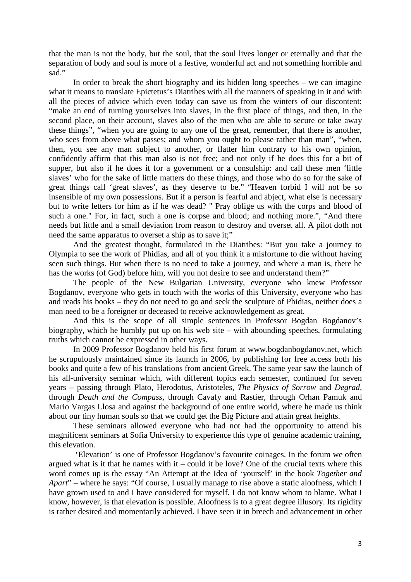that the man is not the body, but the soul, that the soul lives longer or eternally and that the separation of body and soul is more of a festive, wonderful act and not something horrible and sad."

In order to break the short biography and its hidden long speeches – we can imagine what it means to translate Epictetus's Diatribes with all the manners of speaking in it and with all the pieces of advice which even today can save us from the winters of our discontent: "make an end of turning yourselves into slaves, in the first place of things, and then, in the second place, on their account, slaves also of the men who are able to secure or take away these things", "when you are going to any one of the great, remember, that there is another, who sees from above what passes; and whom you ought to please rather than man", "when, then, you see any man subject to another, or flatter him contrary to his own opinion, confidently affirm that this man also is not free; and not only if he does this for a bit of supper, but also if he does it for a government or a consulship: and call these men 'little slaves' who for the sake of little matters do these things, and those who do so for the sake of great things call 'great slaves', as they deserve to be." "Heaven forbid I will not be so insensible of my own possessions. But if a person is fearful and abject, what else is necessary but to write letters for him as if he was dead? " Pray oblige us with the corps and blood of such a one." For, in fact, such a one is corpse and blood; and nothing more.", "And there needs but little and a small deviation from reason to destroy and overset all. A pilot doth not need the same apparatus to overset a ship as to save it;"

And the greatest thought, formulated in the Diatribes: "But you take a journey to Olympia to see the work of Phidias, and all of you think it a misfortune to die without having seen such things. But when there is no need to take a journey, and where a man is, there he has the works (of God) before him, will you not desire to see and understand them?"

The people of the New Bulgarian University, everyone who knew Professor Bogdanov, everyone who gets in touch with the works of this University, everyone who has and reads his books – they do not need to go and seek the sculpture of Phidias, neither does a man need to be a foreigner or deceased to receive acknowledgement as great.

And this is the scope of all simple sentences in Professor Bogdan Bogdanov's biography, which he humbly put up on his web site – with abounding speeches, formulating truths which cannot be expressed in other ways.

In 2009 Professor Bogdanov held his first forum at [www.bogdanbogdanov.net,](http://www.bogdanbogdanov.net/) which he scrupulously maintained since its launch in 2006, by publishing for free access both his books and quite a few of his translations from ancient Greek. The same year saw the launch of his all-university seminar which, with different topics each semester, continued for seven years – passing through Plato, Herodotus, Aristoteles, *The Physics of Sorrow* and *Degrad,*  through *Death and the Compass,* through Cavafy and Rastier, through Orhan Pamuk and Mario Vargas Llosa and against the background of one entire world, where he made us think about our tiny human souls so that we could get the Big Picture and attain great heights.

These seminars allowed everyone who had not had the opportunity to attend his magnificent seminars at Sofia University to experience this type of genuine academic training, this elevation.

'Elevation' is one of Professor Bogdanov's favourite coinages. In the forum we often argued what is it that he names with it – could it be love? One of the crucial texts where this word comes up is the essay "An Attempt at the Idea of 'yourself' in the book *Together and Apart*" – where he says: "Of course, I usually manage to rise above a static aloofness, which I have grown used to and I have considered for myself. I do not know whom to blame. What I know, however, is that elevation is possible. Aloofness is to a great degree illusory. Its rigidity is rather desired and momentarily achieved. I have seen it in breech and advancement in other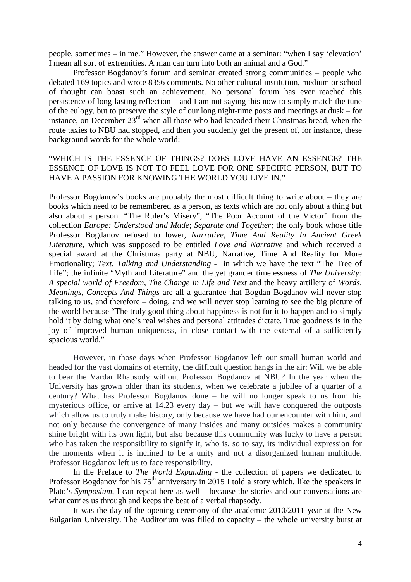people, sometimes – in me." However, the answer came at a seminar: "when I say 'elevation' I mean all sort of extremities. A man can turn into both an animal and a God."

Professor Bogdanov's forum and seminar created strong communities – people who debated 169 topics and wrote 8356 comments. No other cultural institution, medium or school of thought can boast such an achievement. No personal forum has ever reached this persistence of long-lasting reflection – and I am not saying this now to simply match the tune of the eulogy, but to preserve the style of our long night-time posts and meetings at dusk – for instance, on December 23rd when all those who had kneaded their Christmas bread, when the route taxies to NBU had stopped, and then you suddenly get the present of, for instance, these background words for the whole world:

## "WHICH IS THE ESSENCE OF THINGS? DOES LOVE HAVE AN ESSENCE? THE ESSENCE OF LOVE IS NOT TO FEEL LOVE FOR ONE SPECIFIC PERSON, BUT TO HAVE A PASSION FOR KNOWING THE WORLD YOU LIVE IN."

Professor Bogdanov's books are probably the most difficult thing to write about – they are books which need to be remembered as a person, as texts which are not only about a thing but also about a person. "The Ruler's Misery", "The Poor Account of the Victor" from the collection *Europe: Understood and Made*; *Separate and Together;* the only book whose title Professor Bogdanov refused to lower, *Narrative, Time And Reality In Ancient Greek Literature*, which was supposed to be entitled *Love and Narrative* and which received a special award at the Christmas party at NBU, Narrative, Time And Reality for More Emotionality; *Text, Talking and Understanding -* in which we have the text "The Tree of Life"; the infinite "Myth and Literature" and the yet grander timelessness of *The University*: *A special world of Freedom*, *The Change in Life and Text* and the heavy artillery of *Words, Meanings, Concepts And Things* are all a guarantee that Bogdan Bogdanov will never stop talking to us, and therefore – doing, and we will never stop learning to see the big picture of the world because "The truly good thing about happiness is not for it to happen and to simply hold it by doing what one's real wishes and personal attitudes dictate. True goodness is in the joy of improved human uniqueness, in close contact with the external of a sufficiently spacious world."

However, in those days when Professor Bogdanov left our small human world and headed for the vast domains of eternity, the difficult question hangs in the air: Will we be able to bear the Vardar Rhapsody without Professor Bogdanov at NBU? In the year when the University has grown older than its students, when we celebrate a jubilee of a quarter of a century? What has Professor Bogdanov done – he will no longer speak to us from his mysterious office, or arrive at 14.23 every day – but we will have conquered the outposts which allow us to truly make history, only because we have had our encounter with him, and not only because the convergence of many insides and many outsides makes a community shine bright with its own light, but also because this community was lucky to have a person who has taken the responsibility to signify it, who is, so to say, its individual expression for the moments when it is inclined to be a unity and not a disorganized human multitude. Professor Bogdanov left us to face responsibility.

In the Preface to *The World Expanding* - the collection of papers we dedicated to Professor Bogdanov for his  $75<sup>th</sup>$  anniversary in 2015 I told a story which, like the speakers in Plato's *Symposium*, I can repeat here as well – because the stories and our conversations are what carries us through and keeps the beat of a verbal rhapsody.

It was the day of the opening ceremony of the academic 2010/2011 year at the New Bulgarian University. The Auditorium was filled to capacity – the whole university burst at